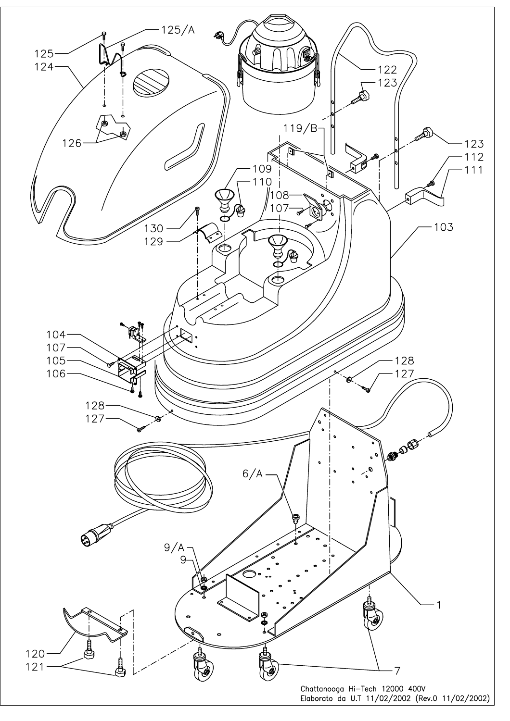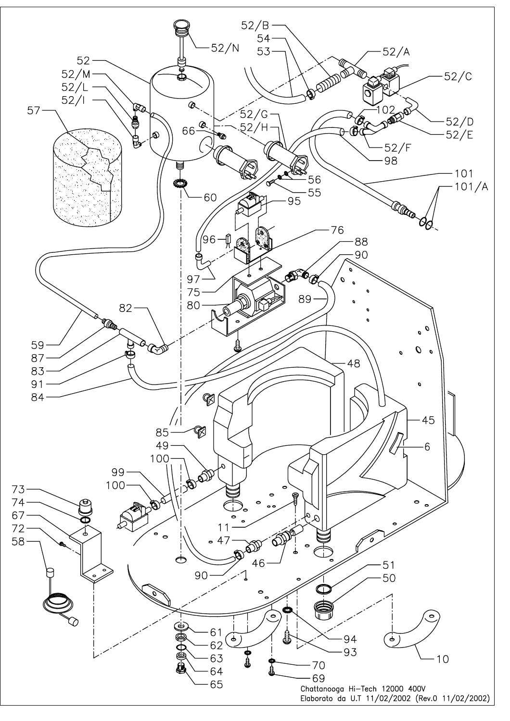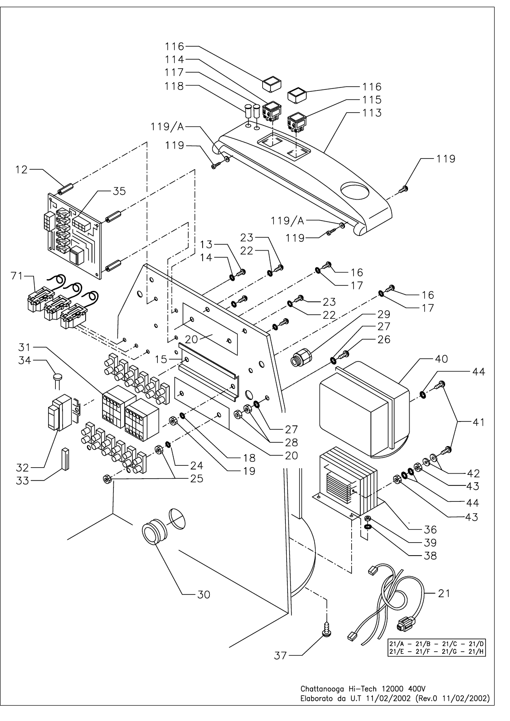

Chattanooga Hi-Tech 12000 400V Elaborato da U.T 11/02/2002 (Rev.0 11/02/2002)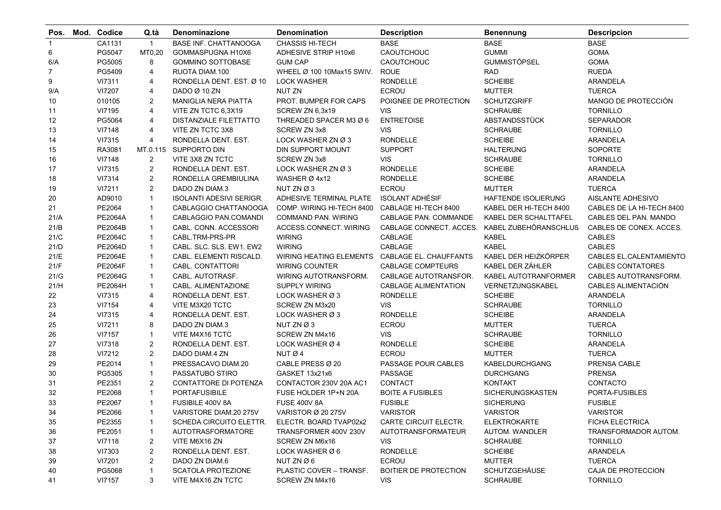| Pos.         | Mod. Codice    | Q.tà           | Denominazione                   | <b>Denomination</b>            | <b>Description</b>          | <b>Benennung</b>           | <b>Descripcion</b>        |
|--------------|----------------|----------------|---------------------------------|--------------------------------|-----------------------------|----------------------------|---------------------------|
| $\mathbf{1}$ | CA1131         | $\mathbf{1}$   | <b>BASE INF. CHATTANOOGA</b>    | <b>CHASSIS HI-TECH</b>         | <b>BASE</b>                 | <b>BASE</b>                | <b>BASE</b>               |
| 6            | PG5047         | MT0,20         | GOMMASPUGNA H10X6               | <b>ADHESIVE STRIP H10x6</b>    | CAOUTCHOUC                  | <b>GUMMI</b>               | <b>GOMA</b>               |
| 6/A          | PG5005         | 8              | <b>GOMMINO SOTTOBASE</b>        | <b>GUM CAP</b>                 | CAOUTCHOUC                  | <b>GUMMISTÖPSEL</b>        | <b>GOMA</b>               |
| 7            | PG5409         | 4              | RUOTA DIAM.100                  | WHEEL Ø 100 10Max15 SWIV.      | <b>ROUE</b>                 | <b>RAD</b>                 | <b>RUEDA</b>              |
| 9            | VI7311         | 4              | RONDELLA DENT. EST. Ø 10        | <b>LOCK WASHER</b>             | <b>RONDELLE</b>             | <b>SCHEIBE</b>             | ARANDELA                  |
| 9/A          | VI7207         | 4              | DADO Ø 10 ZN                    | NUT ZN                         | ECROU                       | <b>MUTTER</b>              | <b>TUERCA</b>             |
| 10           | 010105         | $\overline{2}$ | <b>MANIGLIA NERA PIATTA</b>     | PROT. BUMPER FOR CAPS          | POIGNEE DE PROTECTION       | <b>SCHUTZGRIFF</b>         | MANGO DE PROTECCIÓN       |
| 11           | VI7195         | 4              | VITE ZN TCTC 6,3X19             | SCREW ZN 6,3x19                | <b>VIS</b>                  | <b>SCHRAUBE</b>            | <b>TORNILLO</b>           |
| 12           | PG5064         | 4              | DISTANZIALE FILETTATTO          | THREADED SPACER M3 Ø 6         | <b>ENTRETOISE</b>           | ABSTANDSSTÜCK              | SEPARADOR                 |
| 13           | VI7148         | 4              | VITE ZN TCTC 3X8                | <b>SCREW ZN 3x8</b>            | <b>VIS</b>                  | <b>SCHRAUBE</b>            | <b>TORNILLO</b>           |
| 14           | VI7315         | 4              | RONDELLA DENT. EST.             | LOCK WASHER ZN Ø3              | <b>RONDELLE</b>             | <b>SCHEIBE</b>             | ARANDELA                  |
| 15           | RA3081         | MT.0.115       | SUPPORTO DIN                    | DIN SUPPORT MOUNT              | <b>SUPPORT</b>              | <b>HALTERUNG</b>           | SOPORTE                   |
| $16\,$       | VI7148         | $\overline{c}$ | VITE 3X8 ZN TCTC                | SCREW ZN 3x8                   | <b>VIS</b>                  | <b>SCHRAUBE</b>            | <b>TORNILLO</b>           |
| 17           | VI7315         | $\overline{c}$ | RONDELLA DENT. EST.             | LOCK WASHER ZN Ø 3             | <b>RONDELLE</b>             | <b>SCHEIBE</b>             | ARANDELA                  |
| $18\,$       | VI7314         | $\overline{2}$ | RONDELLA GREMBIULINA            | WASHER Ø 4x12                  | <b>RONDELLE</b>             | <b>SCHEIBE</b>             | <b>ARANDELA</b>           |
| 19           | VI7211         | $\overline{2}$ | DADO ZN DIAM.3                  | NUT ZN Ø 3                     | <b>ECROU</b>                | <b>MUTTER</b>              | <b>TUERCA</b>             |
| $20\,$       | AD9010         | $\mathbf{1}$   | <b>ISOLANTI ADESIVI SERIGR.</b> | ADHESIVE TERMINAL PLATE        | <b>ISOLANT ADHÉSIF</b>      | <b>HAFTENDE ISOLIERUNG</b> | AISLANTE ADHESIVO         |
| 21           | PE2064         | $\mathbf{1}$   | CABLAGGIO CHATTANOOGA           | COMP. WIRING HI-TECH 8400      | CABLAGE HI-TECH 8400        | KABEL DER HI-TECH 8400     | CABLES DE LA HI-TECH 8400 |
| 21/A         | <b>PE2064A</b> | $\mathbf{1}$   | CABLAGGIO PAN.COMANDI           | <b>COMMAND PAN. WIRING</b>     | CABLAGE PAN. COMMANDE       | KABEL DER SCHALTTAFEL      | CABLES DEL PAN. MANDO     |
| 21/B         | PE2064B        | $\mathbf{1}$   | CABL. CONN. ACCESSORI           | ACCESS.CONNECT. WIRING         | CABLAGE CONNECT. ACCES.     | KABEL ZUBEHÖRANSCHLUß      | CABLES DE CONEX. ACCES.   |
| 21/C         | <b>PE2064C</b> | $\mathbf{1}$   | CABL.TRM-PRS-PR                 | WIRING                         | CABLAGE                     | <b>KABEL</b>               | <b>CABLES</b>             |
| 21/D         | PE2064D        | $\mathbf{1}$   | CABL. SLC. SLS. EW1. EW2        | <b>WIRING</b>                  | CABLAGE                     | <b>KABEL</b>               | <b>CABLES</b>             |
| 21/E         | PE2064E        | 1              | CABL. ELEMENTI RISCALD.         | <b>WIRING HEATING ELEMENTS</b> | CABLAGE EL. CHAUFFANTS      | KABEL DER HEIZKÖRPER       | CABLES EL.CALENTAMIENTO   |
| 21/F         | <b>PE2064F</b> | $\mathbf{1}$   | CABL. CONTATTORI                | <b>WIRING COUNTER</b>          | <b>CABLAGE COMPTEURS</b>    | KABEL DER ZÄHLER           | <b>CABLES CONTATORES</b>  |
| 21/G         | PE2064G        | $\mathbf{1}$   | CABL. AUTOTRASF.                | WIRING AUTOTRANSFORM.          | CABLAGE AUTOTRANSFOR.       | KABEL AUTOTRANFORMER       | CABLES AUTOTRANSFORM.     |
| 21/H         | <b>PE2064H</b> | $\mathbf{1}$   | CABL. ALIMENTAZIONE             | <b>SUPPLY WIRING</b>           | <b>CABLAGE ALIMENTATION</b> | VERNETZUNGSKABEL           | CABLES ALIMENTACIÓN       |
| 22           | VI7315         | 4              | RONDELLA DENT. EST.             | LOCK WASHER Ø 3                | <b>RONDELLE</b>             | <b>SCHEIBE</b>             | ARANDELA                  |
| 23           | VI7154         | 4              | VITE M3X20 TCTC                 | SCREW ZN M3x20                 | <b>VIS</b>                  | <b>SCHRAUBE</b>            | <b>TORNILLO</b>           |
| 24           | VI7315         | 4              | RONDELLA DENT. EST.             | LOCK WASHER Ø3                 | <b>RONDELLE</b>             | <b>SCHEIBE</b>             | ARANDELA                  |
| 25           | VI7211         | 8              | DADO ZN DIAM.3                  | NUT ZN Ø3                      | ECROU                       | <b>MUTTER</b>              | <b>TUERCA</b>             |
| 26           | VI7157         | $\mathbf{1}$   | VITE M4X16 TCTC                 | SCREW ZN M4x16                 | <b>VIS</b>                  | <b>SCHRAUBE</b>            | <b>TORNILLO</b>           |
| 27           | VI7318         | $\overline{c}$ | RONDELLA DENT. EST.             | LOCK WASHER Ø 4                | <b>RONDELLE</b>             | <b>SCHEIBE</b>             | ARANDELA                  |
| 28           | VI7212         | $\overline{2}$ | DADO DIAM.4 ZN                  | NUT Ø 4                        | <b>ECROU</b>                | <b>MUTTER</b>              | <b>TUERCA</b>             |
| 29           | PE2014         | $\mathbf{1}$   | PRESSACAVO DIAM.20              | CABLE PRESS Ø 20               | PASSAGE POUR CABLES         | <b>KABELDURCHGANG</b>      | PRENSA CABLE              |
| 30           | PG5305         | $\mathbf{1}$   | PASSATUBO STIRO                 | GASKET 13x21x6                 | PASSAGE                     | <b>DURCHGANG</b>           | <b>PRENSA</b>             |
| 31           | PE2351         | $\overline{2}$ | CONTATTORE DI POTENZA           | CONTACTOR 230V 20A AC1         | CONTACT                     | <b>KONTAKT</b>             | CONTACTO                  |
| 32           | PE2068         | $\mathbf{1}$   | <b>PORTAFUSIBILE</b>            | FUSE HOLDER 1P+N 20A           | <b>BOITE A FUSIBLES</b>     | <b>SICHERUNGSKASTEN</b>    | PORTA-FUSIBLES            |
| 33           | PE2067         | $\mathbf{1}$   | FUSIBILE 400V 8A                | <b>FUSE 400V 8A</b>            | <b>FUSIBLE</b>              | <b>SICHERUNG</b>           | <b>FUSIBLE</b>            |
| 34           | PE2066         | 1              | VARISTORE DIAM.20 275V          | VARISTOR Ø 20 275V             | <b>VARISTOR</b>             | <b>VARISTOR</b>            | <b>VARISTOR</b>           |
| 35           | PE2355         | 1              | SCHEDA CIRCUITO ELETTR.         | ELECTR. BOARD TVAP02x2         | CARTE CIRCUIT ELECTR.       | <b>ELEKTROKARTE</b>        | <b>FICHA ELECTRICA</b>    |
| 36           | PE2051         | 1              | AUTOTRASFORMATORE               | TRANSFORMER 400V 230V          | AUTOTRANSFORMATEUR          | AUTOM. WANDLER             | TRANSFORMADOR AUTOM.      |
| 37           | VI7118         | 2              | VITE M6X16 ZN                   | SCREW ZN M6x16                 | VIS.                        | <b>SCHRAUBE</b>            | <b>TORNILLO</b>           |
| 38           | VI7303         | $\overline{2}$ | RONDELLA DENT. EST.             | LOCK WASHER Ø 6                | <b>RONDELLE</b>             | <b>SCHEIBE</b>             | ARANDELA                  |
| 39           | VI7201         | $\overline{c}$ | DADO ZN DIAM.6                  | NUT ZN Ø6                      | <b>ECROU</b>                | MUTTER                     | <b>TUERCA</b>             |
| 40           | PG5068         | 1              | SCATOLA PROTEZIONE              | PLASTIC COVER - TRANSF.        | BOITIER DE PROTECTION       | SCHUTZGEHÄUSE              | CAJA DE PROTECCION        |
| 41           | VI7157         | 3              | VITE M4X16 ZN TCTC              | SCREW ZN M4x16                 | <b>VIS</b>                  | <b>SCHRAUBE</b>            | <b>TORNILLO</b>           |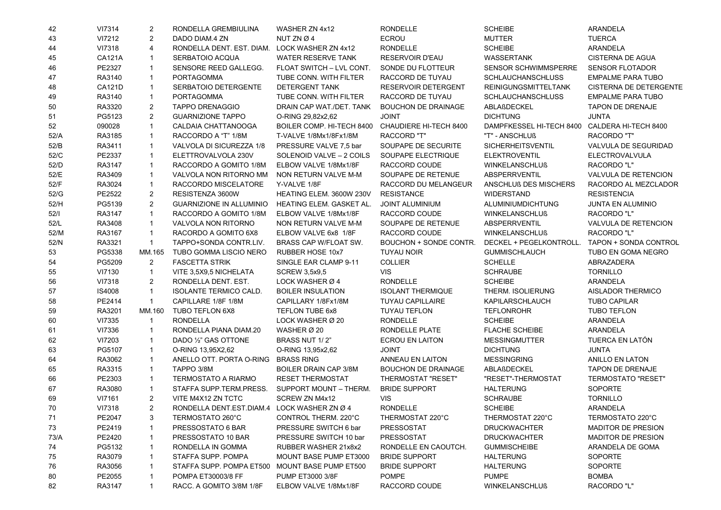| 42   | VI7314        | 2              | RONDELLA GREMBIULINA                        | WASHER ZN 4x12                                   | <b>RONDELLE</b>            | <b>SCHEIBE</b>                    | ARANDELA                            |
|------|---------------|----------------|---------------------------------------------|--------------------------------------------------|----------------------------|-----------------------------------|-------------------------------------|
| 43   | VI7212        | $\overline{2}$ | DADO DIAM.4 ZN                              | NUT ZN $\varnothing$ 4                           | <b>ECROU</b>               | <b>MUTTER</b>                     | <b>TUERCA</b>                       |
| 44   | VI7318        | 4              | RONDELLA DENT. EST. DIAM.                   | LOCK WASHER ZN 4x12                              | <b>RONDELLE</b>            | <b>SCHEIBE</b>                    | ARANDELA                            |
| 45   | <b>CA121A</b> | $\mathbf{1}$   | SERBATOIO ACQUA                             | WATER RESERVE TANK                               | <b>RESERVOIR D'EAU</b>     | <b>WASSERTANK</b>                 | <b>CISTERNA DE AGUA</b>             |
| 46   | PE2327        | $\mathbf{1}$   | SENSORE REED GALLEGG.                       | FLOAT SWITCH - LVL CONT.                         | SONDE DU FLOTTEUR          | SENSOR SCHWIMMSPERRE              | <b>SENSOR FLOTADOR</b>              |
| 47   | RA3140        | $\mathbf{1}$   | <b>PORTAGOMMA</b>                           | TUBE CONN. WITH FILTER                           | RACCORD DE TUYAU           | <b>SCHLAUCHANSCHLUSS</b>          | <b>EMPALME PARA TUBO</b>            |
| 48   | <b>CA121D</b> | $\mathbf{1}$   | SERBATOIO DETERGENTE                        | <b>DETERGENT TANK</b>                            | <b>RESERVOIR DETERGENT</b> | <b>REINIGUNGSMITTELTANK</b>       | <b>CISTERNA DE DETERGENTE</b>       |
| 49   | RA3140        | $\mathbf{1}$   | <b>PORTAGOMMA</b>                           | TUBE CONN. WITH FILTER                           | RACCORD DE TUYAU           | <b>SCHLAUCHANSCHLUSS</b>          | <b>EMPALME PARA TUBO</b>            |
| 50   | RA3320        | 2              | <b>TAPPO DRENAGGIO</b>                      | DRAIN CAP WAT /DET. TANK                         | <b>BOUCHON DE DRAINAGE</b> | ABLAßDECKEL                       | <b>TAPON DE DRENAJE</b>             |
| 51   | PG5123        | $\overline{2}$ | <b>GUARNIZIONE TAPPO</b>                    | O-RING 29,82x2,62                                | <b>JOINT</b>               | <b>DICHTUNG</b>                   | <b>JUNTA</b>                        |
| 52   | 090028        | $\mathbf{1}$   | CALDAIA CHATTANOOGA                         | BOILER COMP. HI-TECH 8400 CHAUDIERE HI-TECH 8400 |                            | DAMPFKESSEL HI-TECH 8400          | CALDERA HI-TECH 8400                |
| 52/A | RA3185        | $\mathbf{1}$   | RACCORDO A "T" 1/8M                         | T-VALVE 1/8Mx1/8Fx1/8M                           | <b>RACCORD "T"</b>         | "T" - ANSCHLUß                    | <b>RACORDO "T"</b>                  |
| 52/B | RA3411        | $\mathbf{1}$   | VALVOLA DI SICUREZZA 1/8                    | PRESSURE VALVE 7,5 bar                           | SOUPAPE DE SECURITE        | SICHERHEITSVENTIL                 | VALVULA DE SEGURIDAD                |
| 52/C | PE2337        | $\mathbf{1}$   | ELETTROVALVOLA 230V                         | SOLENOID VALVE - 2 COILS                         | SOUPAPE ELECTRIQUE         | <b>ELEKTROVENTIL</b>              | ELECTROVALVULA                      |
| 52/D | RA3147        | $\mathbf{1}$   | RACCORDO A GOMITO 1/8M                      | ELBOW VALVE 1/8Mx1/8F                            | RACCORD COUDE              | <b>WINKELANSCHLUß</b>             | RACORDO "L"                         |
| 52/E | RA3409        | $\mathbf{1}$   | VALVOLA NON RITORNO MM                      | NON RETURN VALVE M-M                             | SOUPAPE DE RETENUE         | <b>ABSPERRVENTIL</b>              | VALVULA DE RETENCION                |
| 52/F | RA3024        | $\mathbf{1}$   | RACCORDO MISCELATORE                        | Y-VALVE 1/8F                                     | RACCORD DU MELANGEUR       | ANSCHLUß DES MISCHERS             | RACORDO AL MEZCLADOR                |
| 52/G | PE2522        | 2              | RESISTENZA 3600W                            | HEATING ELEM. 3600W 230V                         | <b>RESISTANCE</b>          | <b>WIDERSTAND</b>                 | <b>RESISTENCIA</b>                  |
| 52/H | PG5139        | $\overline{2}$ | <b>GUARNIZIONE IN ALLUMINIO</b>             | HEATING ELEM. GASKET AL.                         | <b>JOINT ALUMINIUM</b>     | ALUMINIUMDICHTUNG                 | <b>JUNTA EN ALUMINIO</b>            |
| 52/1 | RA3147        | $\mathbf{1}$   | RACCORDO A GOMITO 1/8M                      | ELBOW VALVE 1/8Mx1/8F                            | RACCORD COUDE              | <b>WINKELANSCHLUß</b>             | <b>RACORDO "L"</b>                  |
| 52/L | RA3408        | $\mathbf{1}$   | <b>VALVOLA NON RITORNO</b>                  | NON RETURN VALVE M-M                             | SOUPAPE DE RETENUE         | <b>ABSPERRVENTIL</b>              | <b>VALVULA DE RETENCION</b>         |
| 52/M | RA3167        | $\overline{1}$ | RACORDO A GOMITO 6X8                        | ELBOW VALVE 6x8 1/8F                             | RACCORD COUDE              | <b>WINKELANSCHLUß</b>             | <b>RACORDO "L"</b>                  |
| 52/N | RA3321        | $\mathbf{1}$   | TAPPO+SONDA CONTR.LIV.                      | BRASS CAP W/FLOAT SW.                            | BOUCHON + SONDE CONTR.     | DECKEL + PEGELKONTROLL.           | TAPON + SONDA CONTROL               |
| 53   | PG5338        | MM.165         | TUBO GOMMA LISCIO NERO                      | RUBBER HOSE 10x7                                 | <b>TUYAU NOIR</b>          | <b>GUMMISCHLAUCH</b>              | TUBO EN GOMA NEGRO                  |
| 54   | PG5209        | 2              | <b>FASCETTA STRIK</b>                       | SINGLE EAR CLAMP 9-11                            | <b>COLLIER</b>             | <b>SCHELLE</b>                    | ABRAZADERA                          |
| 55   | VI7130        | $\mathbf{1}$   | VITE 3,5X9,5 NICHELATA                      | <b>SCREW 3,5x9,5</b>                             | <b>VIS</b>                 | <b>SCHRAUBE</b>                   | <b>TORNILLO</b>                     |
| 56   | VI7318        | 2              | RONDELLA DENT. EST.                         | LOCK WASHER Ø 4                                  | <b>RONDELLE</b>            | <b>SCHEIBE</b>                    | ARANDELA                            |
| 57   | IS4008        | $\mathbf{1}$   | <b>ISOLANTE TERMICO CALD.</b>               | <b>BOILER INSULATION</b>                         | <b>ISOLANT THERMIQUE</b>   | THERM. ISOLIERUNG                 | AISLADOR THERMICO                   |
| 58   | PE2414        | $\mathbf{1}$   | CAPILLARE 1/8F 1/8M                         | CAPILLARY 1/8Fx1/8M                              | <b>TUYAU CAPILLAIRE</b>    | KAPILARSCHLAUCH                   | <b>TUBO CAPILAR</b>                 |
| 59   | RA3201        | MM.160         | TUBO TEFLON 6X8                             | TEFLON TUBE 6x8                                  | <b>TUYAU TEFLON</b>        | <b>TEFLONROHR</b>                 | <b>TUBO TEFLON</b>                  |
| 60   | VI7335        | $\mathbf{1}$   | <b>RONDELLA</b>                             | LOCK WASHER Ø 20                                 | <b>RONDELLE</b>            | <b>SCHEIBE</b>                    | ARANDELA                            |
| 61   | VI7336        | $\mathbf{1}$   | RONDELLA PIANA DIAM.20                      | WASHER Ø 20                                      | RONDELLE PLATE             | <b>FLACHE SCHEIBE</b>             | <b>ARANDELA</b>                     |
| 62   | VI7203        | $\mathbf{1}$   | DADO 1/2" GAS OTTONE                        | BRASS NUT 1/2"                                   | <b>ECROU EN LAITON</b>     | <b>MESSINGMUTTER</b>              | TUERCA EN LATÓN                     |
| 63   | PG5107        | $\mathbf{1}$   | O-RING 13,95X2,62                           | O-RING 13,95x2,62                                | <b>TNIOL</b>               | <b>DICHTUNG</b>                   | <b>JUNTA</b>                        |
|      | RA3062        |                | ANELLO OTT. PORTA O-RING                    | <b>BRASS RING</b>                                |                            | <b>MESSINGRING</b>                |                                     |
| 64   |               | $\mathbf{1}$   | TAPPO 3/8M                                  |                                                  | ANNEAU EN LAITON           |                                   | ANILLO EN LATON<br>TAPON DE DRENAJE |
| 65   | RA3315        | $\mathbf{1}$   | <b>TERMOSTATO A RIARMO</b>                  | <b>BOILER DRAIN CAP 3/8M</b>                     | <b>BOUCHON DE DRAINAGE</b> | ABLAßDECKEL<br>"RESET"-THERMOSTAT |                                     |
| 66   | PE2303        | $\mathbf{1}$   |                                             | <b>RESET THERMOSTAT</b>                          | <b>THERMOSTAT "RESET"</b>  |                                   | <b>TERMOSTATO "RESET"</b>           |
| 67   | RA3080        | $\mathbf{1}$   | STAFFA SUPP TERM PRESS.                     | SUPPORT MOUNT - THERM.                           | <b>BRIDE SUPPORT</b>       | <b>HALTERUNG</b>                  | SOPORTE                             |
| 69   | VI7161        | $\overline{2}$ | VITE M4X12 ZN TCTC                          | SCREW ZN M4x12                                   | <b>VIS</b>                 | <b>SCHRAUBE</b>                   | <b>TORNILLO</b>                     |
| 70   | <b>VI7318</b> | $\overline{2}$ | RONDELLA DENT.EST.DIAM.4 LOCK WASHER ZN Ø 4 |                                                  | RONDELLE                   | <b>SCHEIBE</b>                    | ARANDELA                            |
| 71   | PE2047        | 3              | TERMOSTATO 260°C                            | CONTROL THERM. 220°C                             | THERMOSTAT 220°C           | THERMOSTAT 220°C                  | TERMOSTATO 220°C                    |
| 73   | PE2419        | 1              | PRESSOSTATO 6 BAR                           | PRESSURE SWITCH 6 bar                            | <b>PRESSOSTAT</b>          | <b>DRUCKWACHTER</b>               | <b>MADITOR DE PRESION</b>           |
| 73/A | PE2420        | 1              | PRESSOSTATO 10 BAR                          | PRESSURE SWITCH 10 bar                           | <b>PRESSOSTAT</b>          | <b>DRUCKWACHTER</b>               | <b>MADITOR DE PRESION</b>           |
| 74   | PG5132        | $\mathbf{1}$   | RONDELLA IN GOMMA                           | RUBBER WASHER 21x8x2                             | RONDELLE EN CAOUTCH.       | <b>GUMMISCHEIBE</b>               | ARANDELA DE GOMA                    |
| 75   | RA3079        | $\mathbf 1$    | STAFFA SUPP. POMPA                          | MOUNT BASE PUMP ET3000                           | <b>BRIDE SUPPORT</b>       | <b>HALTERUNG</b>                  | SOPORTE                             |
| 76   | RA3056        | $\mathbf 1$    | STAFFA SUPP. POMPA ET500                    | MOUNT BASE PUMP ET500                            | <b>BRIDE SUPPORT</b>       | <b>HALTERUNG</b>                  | <b>SOPORTE</b>                      |
| 80   | PE2055        | 1              | POMPA ET30003/8 FF                          | PUMP ET3000 3/8F                                 | <b>POMPE</b>               | <b>PUMPE</b>                      | <b>BOMBA</b>                        |
| 82   | RA3147        | $\mathbf{1}$   | RACC. A GOMITO 3/8M 1/8F                    | ELBOW VALVE 1/8Mx1/8F                            | RACCORD COUDE              | <b>WINKELANSCHLUß</b>             | RACORDO "L"                         |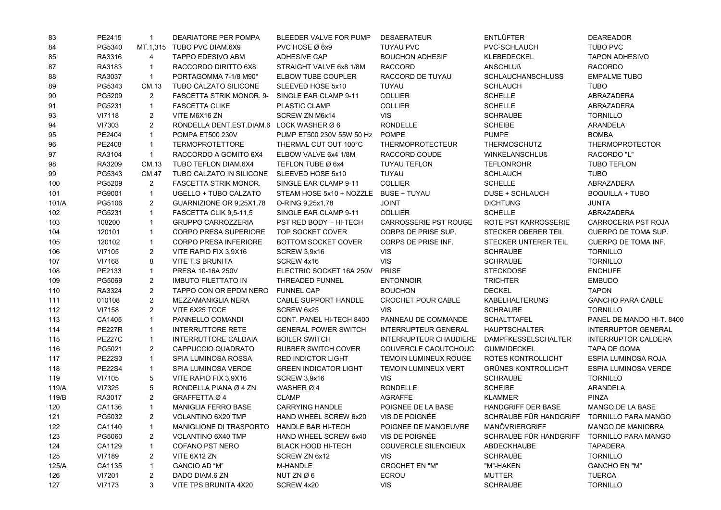| 83    | PE2415        | $\mathbf{1}$   | DEARIATORE PER POMPA                     | BLEEDER VALVE FOR PUMP          | <b>DESAERATEUR</b>           | <b>ENTLÜFTER</b>                           | <b>DEAREADOR</b>            |
|-------|---------------|----------------|------------------------------------------|---------------------------------|------------------------------|--------------------------------------------|-----------------------------|
| 84    | PG5340        |                | MT.1,315 TUBO PVC DIAM.6X9               | PVC HOSE Ø 6x9                  | <b>TUYAU PVC</b>             | PVC-SCHLAUCH                               | <b>TUBO PVC</b>             |
| 85    | RA3316        | $\overline{4}$ | TAPPO EDESIVO ABM                        | <b>ADHESIVE CAP</b>             | <b>BOUCHON ADHESIF</b>       | KLEBEDECKEL                                | <b>TAPON ADHESIVO</b>       |
| 87    | RA3183        | $\mathbf{1}$   | RACCORDO DIRITTO 6X8                     | STRAIGHT VALVE 6x8 1/8M         | <b>RACCORD</b>               | <b>ANSCHLUß</b>                            | <b>RACORDO</b>              |
| 88    | RA3037        | $\mathbf{1}$   | PORTAGOMMA 7-1/8 M90°                    | ELBOW TUBE COUPLER              | RACCORD DE TUYAU             | <b>SCHLAUCHANSCHLUSS</b>                   | <b>EMPALME TUBO</b>         |
| 89    | PG5343        | CM.13          | TUBO CALZATO SILICONE                    | SLEEVED HOSE 5x10               | TUYAU                        | <b>SCHLAUCH</b>                            | <b>TUBO</b>                 |
| 90    | PG5209        | $\overline{2}$ | <b>FASCETTA STRIK MONOR, 9-</b>          | SINGLE EAR CLAMP 9-11           | <b>COLLIER</b>               | <b>SCHELLE</b>                             | ABRAZADERA                  |
| 91    | PG5231        | $\mathbf{1}$   | <b>FASCETTA CLIKE</b>                    | PLASTIC CLAMP                   | <b>COLLIER</b>               | <b>SCHELLE</b>                             | ABRAZADERA                  |
| 93    | VI7118        | $\overline{c}$ | VITE M6X16 ZN                            | SCREW ZN M6x14                  | <b>VIS</b>                   | <b>SCHRAUBE</b>                            | <b>TORNILLO</b>             |
| 94    | VI7303        | $\overline{2}$ | RONDELLA DENT.EST.DIAM.6 LOCK WASHER Ø 6 |                                 | <b>RONDELLE</b>              | <b>SCHEIBE</b>                             | <b>ARANDELA</b>             |
| 95    | PE2404        | $\mathbf{1}$   | <b>POMPA ET500 230V</b>                  | PUMP ET500 230V 55W 50 Hz POMPE |                              | <b>PUMPE</b>                               | <b>BOMBA</b>                |
| 96    | PE2408        | $\mathbf{1}$   | <b>TERMOPROTETTORE</b>                   | THERMAL CUT OUT 100°C           | <b>THERMOPROTECTEUR</b>      | THERMOSCHUTZ                               | <b>THERMOPROTECTOR</b>      |
| 97    | RA3104        | $\mathbf{1}$   | RACCORDO A GOMITO 6X4                    | ELBOW VALVE 6x4 1/8M            | RACCORD COUDE                | <b>WINKELANSCHLUß</b>                      | RACORDO "L"                 |
| 98    | RA3209        | CM.13          | TUBO TEFLON DIAM.6X4                     | TEFLON TUBE Ø 6x4               | <b>TUYAU TEFLON</b>          | <b>TEFLONROHR</b>                          | <b>TUBO TEFLON</b>          |
| 99    | PG5343        | CM.47          | TUBO CALZATO IN SILICONE                 | SLEEVED HOSE 5x10               | TUYAU                        | <b>SCHLAUCH</b>                            | <b>TUBO</b>                 |
| 100   | PG5209        | 2              | <b>FASCETTA STRIK MONOR.</b>             | SINGLE EAR CLAMP 9-11           | <b>COLLIER</b>               | <b>SCHELLE</b>                             | ABRAZADERA                  |
| 101   | PG9001        | $\mathbf{1}$   | UGELLO + TUBO CALZATO                    | STEAM HOSE 5x10 + NOZZLE        | <b>BUSE + TUYAU</b>          | DUSE + SCHLAUCH                            | <b>BOQUILLA + TUBO</b>      |
| 101/A | PG5106        | $\overline{2}$ | GUARNIZIONE OR 9,25X1,78                 | O-RING 9,25x1,78                | <b>JOINT</b>                 | <b>DICHTUNG</b>                            | <b>JUNTA</b>                |
| 102   | PG5231        | $\mathbf{1}$   | FASCETTA CLIK 9,5-11,5                   | SINGLE EAR CLAMP 9-11           | <b>COLLIER</b>               | <b>SCHELLE</b>                             | ABRAZADERA                  |
| 103   | 108200        | $\mathbf{1}$   | <b>GRUPPO CARROZZERIA</b>                | PST RED BODY - HI-TECH          | CARROSSERIE PST ROUGE        | ROTE PST KARROSSERIE                       | CARROCERIA PST ROJA         |
| 104   | 120101        | $\mathbf{1}$   | <b>CORPO PRESA SUPERIORE</b>             | TOP SOCKET COVER                | CORPS DE PRISE SUP.          | STECKER OBERER TEIL                        | CUERPO DE TOMA SUP.         |
| 105   | 120102        | $\mathbf{1}$   | CORPO PRESA INFERIORE                    | <b>BOTTOM SOCKET COVER</b>      | CORPS DE PRISE INF.          | STECKER UNTERER TEIL                       | CUERPO DE TOMA INF.         |
| 106   | VI7105        | $\overline{2}$ | VITE RAPID FIX 3,9X16                    | <b>SCREW 3,9x16</b>             | <b>VIS</b>                   | <b>SCHRAUBE</b>                            | <b>TORNILLO</b>             |
| 107   | VI7168        | 8              | VITE T.S BRUNITA                         | SCREW 4x16                      | <b>VIS</b>                   | <b>SCHRAUBE</b>                            | <b>TORNILLO</b>             |
| 108   | PE2133        | $\mathbf{1}$   | PRESA 10-16A 250V                        | ELECTRIC SOCKET 16A 250V        | <b>PRISE</b>                 | <b>STECKDOSE</b>                           | <b>ENCHUFE</b>              |
| 109   | PG5069        | $\overline{2}$ | <b>IMBUTO FILETTATO IN</b>               | THREADED FUNNEL                 | <b>ENTONNOIR</b>             | <b>TRICHTER</b>                            | <b>EMBUDO</b>               |
| 110   | RA3324        | $\overline{2}$ | TAPPO CON OR EPDM NERO                   | <b>FUNNEL CAP</b>               | <b>BOUCHON</b>               | <b>DECKEL</b>                              | <b>TAPON</b>                |
| 111   | 010108        | $\overline{2}$ | MEZZAMANIGLIA NERA                       | CABLE SUPPORT HANDLE            | CROCHET POUR CABLE           | KABELHALTERUNG                             | <b>GANCHO PARA CABLE</b>    |
| 112   | VI7158        | 2              | VITE 6X25 TCCE                           | SCREW 6x25                      | <b>VIS</b>                   | <b>SCHRAUBE</b>                            | <b>TORNILLO</b>             |
| 113   | CA1405        | $\mathbf{1}$   | PANNELLO COMANDI                         | CONT. PANEL HI-TECH 8400        | PANNEAU DE COMMANDE          | <b>SCHALTTAFEL</b>                         | PANEL DE MANDO HI-T. 8400   |
| 114   | <b>PE227R</b> | $\mathbf{1}$   | <b>INTERRUTTORE RETE</b>                 | <b>GENERAL POWER SWITCH</b>     | <b>INTERRUPTEUR GENERAL</b>  | <b>HAUPTSCHALTER</b>                       | <b>INTERRUPTOR GENERAL</b>  |
| 115   | <b>PE227C</b> | $\mathbf{1}$   | INTERRUTTORE CALDAIA                     | <b>BOILER SWITCH</b>            | INTERRUPTEUR CHAUDIERE       | <b>DAMPFKESSELSCHALTER</b>                 | <b>INTERRUPTOR CALDERA</b>  |
| 116   | PG5021        | $\overline{2}$ | CAPPUCCIO QUADRATO                       | <b>RUBBER SWITCH COVER</b>      | COUVERCLE CAOUTCHOUC         | <b>GUMMIDECKEL</b>                         | TAPA DE GOMA                |
| 117   | <b>PE22S3</b> | $\mathbf{1}$   | SPIA LUMINOSA ROSSA                      | <b>RED INDICTOR LIGHT</b>       | <b>TEMOIN LUMINEUX ROUGE</b> | ROTES KONTROLLICHT                         | ESPIA LUMINOSA ROJA         |
| 118   | <b>PE22S4</b> | $\mathbf{1}$   | SPIA LUMINOSA VERDE                      | <b>GREEN INDICATOR LIGHT</b>    | <b>TEMOIN LUMINEUX VERT</b>  | <b>GRÜNES KONTROLLICHT</b>                 | <b>ESPIA LUMINOSA VERDE</b> |
| 119   | VI7105        | 5              | VITE RAPID FIX 3,9X16                    | <b>SCREW 3,9x16</b>             | <b>VIS</b>                   | <b>SCHRAUBE</b>                            | <b>TORNILLO</b>             |
| 119/A | VI7325        | 5              | RONDELLA PIANA Ø 4 ZN                    | WASHER Ø 4                      | RONDELLE                     | <b>SCHEIBE</b>                             | ARANDELA                    |
| 119/B | RA3017        | $\overline{2}$ | GRAFFETTA Ø 4                            | <b>CLAMP</b>                    | <b>AGRAFFE</b>               | <b>KLAMMER</b>                             | PINZA                       |
| 120   | CA1136        | $\mathbf{1}$   | <b>MANIGLIA FERRO BASE</b>               | <b>CARRYING HANDLE</b>          | POIGNEE DE LA BASE           | HANDGRIFF DER BASE                         | MANGO DE LA BASE            |
| 121   | PG5032        | $2^{\circ}$    | VOLANTINO 6X20 TMP                       | HAND WHEEL SCREW 6x20           | VIS DE POIGNÉE               | SCHRAUBE FÜR HANDGRIFF TORNILLO PARA MANGO |                             |
| 122   | CA1140        | $\mathbf{1}$   | MANIGLIONE DI TRASPORTO                  | HANDLE BAR HI-TECH              | POIGNEE DE MANOEUVRE         | <b>MANÖVRIERGRIFF</b>                      | <b>MANGO DE MANIOBRA</b>    |
| 123   | PG5060        | $\overline{c}$ | VOLANTINO 6X40 TMP                       | HAND WHEEL SCREW 6x40           | VIS DE POIGNÉE               | SCHRAUBE FÜR HANDGRIFF TORNILLO PARA MANGO |                             |
| 124   | CA1129        | $\mathbf{1}$   | COFANO PST NERO                          | <b>BLACK HOOD HI-TECH</b>       | COUVERCLE SILENCIEUX         | ABDECKHAUBE                                | TAPADERA                    |
| 125   | VI7189        | 2              | VITE 6X12 ZN                             | SCREW ZN 6x12                   | VIS.                         | <b>SCHRAUBE</b>                            | <b>TORNILLO</b>             |
| 125/A | CA1135        | $\mathbf{1}$   | <b>GANCIO AD "M"</b>                     | M-HANDLE                        | <b>CROCHET EN "M"</b>        | "M"-HAKEN                                  | <b>GANCHO EN "M"</b>        |
| 126   | <b>VI7201</b> | $\overline{2}$ | DADO DIAM.6 ZN                           | NUT ZN Ø6                       | ECROU                        | <b>MUTTER</b>                              | <b>TUERCA</b>               |
| 127   | <b>VI7173</b> | 3              | VITE TPS BRUNITA 4X20                    | SCREW 4x20                      | <b>VIS</b>                   | <b>SCHRAUBE</b>                            | <b>TORNILLO</b>             |